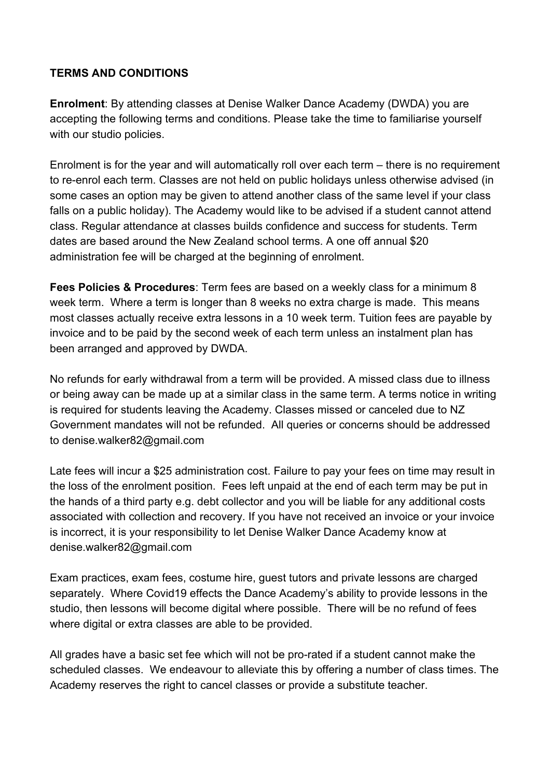## **TERMS AND CONDITIONS**

**Enrolment**: By attending classes at Denise Walker Dance Academy (DWDA) you are accepting the following terms and conditions. Please take the time to familiarise yourself with our studio policies.

Enrolment is for the year and will automatically roll over each term – there is no requirement to re-enrol each term. Classes are not held on public holidays unless otherwise advised (in some cases an option may be given to attend another class of the same level if your class falls on a public holiday). The Academy would like to be advised if a student cannot attend class. Regular attendance at classes builds confidence and success for students. Term dates are based around the New Zealand school terms. A one off annual \$20 administration fee will be charged at the beginning of enrolment.

**Fees Policies & Procedures**: Term fees are based on a weekly class for a minimum 8 week term. Where a term is longer than 8 weeks no extra charge is made. This means most classes actually receive extra lessons in a 10 week term. Tuition fees are payable by invoice and to be paid by the second week of each term unless an instalment plan has been arranged and approved by DWDA.

No refunds for early withdrawal from a term will be provided. A missed class due to illness or being away can be made up at a similar class in the same term. A terms notice in writing is required for students leaving the Academy. Classes missed or canceled due to NZ Government mandates will not be refunded. All queries or concerns should be addressed to denise.walker82@gmail.com

Late fees will incur a \$25 administration cost. Failure to pay your fees on time may result in the loss of the enrolment position. Fees left unpaid at the end of each term may be put in the hands of a third party e.g. debt collector and you will be liable for any additional costs associated with collection and recovery. If you have not received an invoice or your invoice is incorrect, it is your responsibility to let Denise Walker Dance Academy know at denise.walker82@gmail.com

Exam practices, exam fees, costume hire, guest tutors and private lessons are charged separately. Where Covid19 effects the Dance Academy's ability to provide lessons in the studio, then lessons will become digital where possible. There will be no refund of fees where digital or extra classes are able to be provided.

All grades have a basic set fee which will not be pro-rated if a student cannot make the scheduled classes. We endeavour to alleviate this by offering a number of class times. The Academy reserves the right to cancel classes or provide a substitute teacher.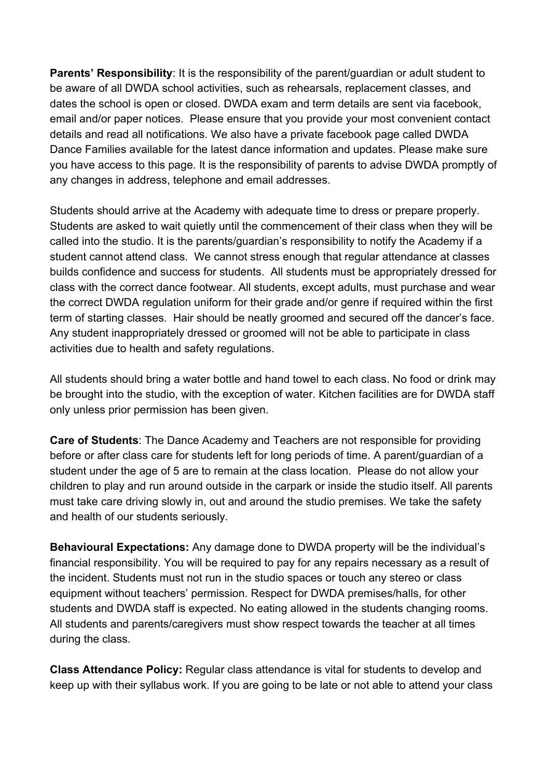**Parents' Responsibility:** It is the responsibility of the parent/guardian or adult student to be aware of all DWDA school activities, such as rehearsals, replacement classes, and dates the school is open or closed. DWDA exam and term details are sent via facebook, email and/or paper notices. Please ensure that you provide your most convenient contact details and read all notifications. We also have a private facebook page called DWDA Dance Families available for the latest dance information and updates. Please make sure you have access to this page. It is the responsibility of parents to advise DWDA promptly of any changes in address, telephone and email addresses.

Students should arrive at the Academy with adequate time to dress or prepare properly. Students are asked to wait quietly until the commencement of their class when they will be called into the studio. It is the parents/guardian's responsibility to notify the Academy if a student cannot attend class. We cannot stress enough that regular attendance at classes builds confidence and success for students. All students must be appropriately dressed for class with the correct dance footwear. All students, except adults, must purchase and wear the correct DWDA regulation uniform for their grade and/or genre if required within the first term of starting classes. Hair should be neatly groomed and secured off the dancer's face. Any student inappropriately dressed or groomed will not be able to participate in class activities due to health and safety regulations.

All students should bring a water bottle and hand towel to each class. No food or drink may be brought into the studio, with the exception of water. Kitchen facilities are for DWDA staff only unless prior permission has been given.

**Care of Students**: The Dance Academy and Teachers are not responsible for providing before or after class care for students left for long periods of time. A parent/guardian of a student under the age of 5 are to remain at the class location. Please do not allow your children to play and run around outside in the carpark or inside the studio itself. All parents must take care driving slowly in, out and around the studio premises. We take the safety and health of our students seriously.

**Behavioural Expectations:** Any damage done to DWDA property will be the individual's financial responsibility. You will be required to pay for any repairs necessary as a result of the incident. Students must not run in the studio spaces or touch any stereo or class equipment without teachers' permission. Respect for DWDA premises/halls, for other students and DWDA staff is expected. No eating allowed in the students changing rooms. All students and parents/caregivers must show respect towards the teacher at all times during the class.

**Class Attendance Policy:** Regular class attendance is vital for students to develop and keep up with their syllabus work. If you are going to be late or not able to attend your class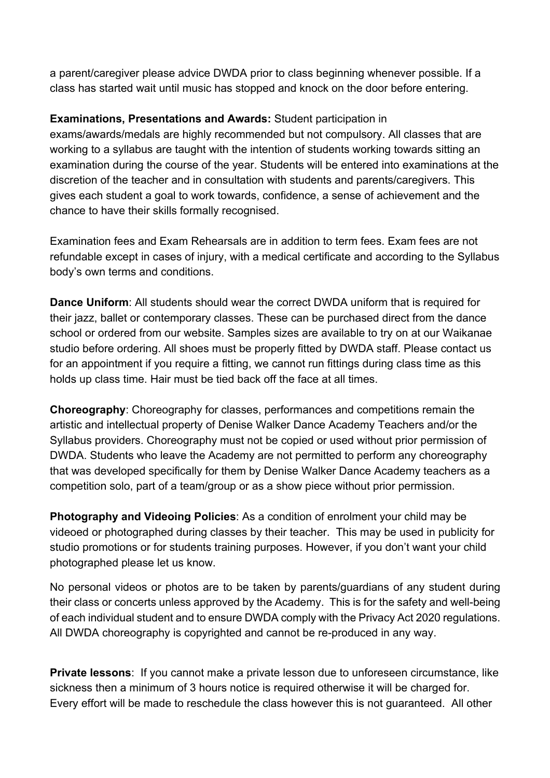a parent/caregiver please advice DWDA prior to class beginning whenever possible. If a class has started wait until music has stopped and knock on the door before entering.

## **Examinations, Presentations and Awards:** Student participation in

exams/awards/medals are highly recommended but not compulsory. All classes that are working to a syllabus are taught with the intention of students working towards sitting an examination during the course of the year. Students will be entered into examinations at the discretion of the teacher and in consultation with students and parents/caregivers. This gives each student a goal to work towards, confidence, a sense of achievement and the chance to have their skills formally recognised.

Examination fees and Exam Rehearsals are in addition to term fees. Exam fees are not refundable except in cases of injury, with a medical certificate and according to the Syllabus body's own terms and conditions.

**Dance Uniform:** All students should wear the correct DWDA uniform that is required for their jazz, ballet or contemporary classes. These can be purchased direct from the dance school or ordered from our website. Samples sizes are available to try on at our Waikanae studio before ordering. All shoes must be properly fitted by DWDA staff. Please contact us for an appointment if you require a fitting, we cannot run fittings during class time as this holds up class time. Hair must be tied back off the face at all times.

**Choreography**: Choreography for classes, performances and competitions remain the artistic and intellectual property of Denise Walker Dance Academy Teachers and/or the Syllabus providers. Choreography must not be copied or used without prior permission of DWDA. Students who leave the Academy are not permitted to perform any choreography that was developed specifically for them by Denise Walker Dance Academy teachers as a competition solo, part of a team/group or as a show piece without prior permission.

**Photography and Videoing Policies**: As a condition of enrolment your child may be videoed or photographed during classes by their teacher. This may be used in publicity for studio promotions or for students training purposes. However, if you don't want your child photographed please let us know.

No personal videos or photos are to be taken by parents/guardians of any student during their class or concerts unless approved by the Academy. This is for the safety and well-being of each individual student and to ensure DWDA comply with the Privacy Act 2020 regulations. All DWDA choreography is copyrighted and cannot be re-produced in any way.

**Private lessons**: If you cannot make a private lesson due to unforeseen circumstance, like sickness then a minimum of 3 hours notice is required otherwise it will be charged for. Every effort will be made to reschedule the class however this is not guaranteed. All other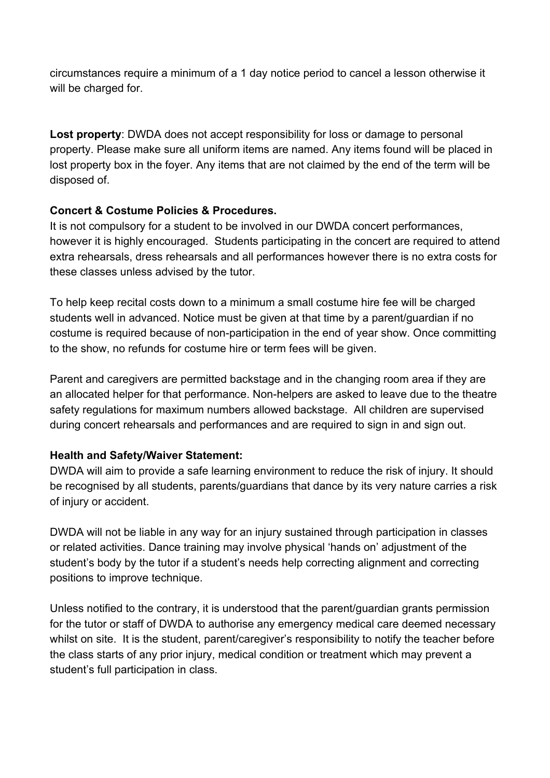circumstances require a minimum of a 1 day notice period to cancel a lesson otherwise it will be charged for.

**Lost property**: DWDA does not accept responsibility for loss or damage to personal property. Please make sure all uniform items are named. Any items found will be placed in lost property box in the foyer. Any items that are not claimed by the end of the term will be disposed of.

## **Concert & Costume Policies & Procedures.**

It is not compulsory for a student to be involved in our DWDA concert performances, however it is highly encouraged. Students participating in the concert are required to attend extra rehearsals, dress rehearsals and all performances however there is no extra costs for these classes unless advised by the tutor.

To help keep recital costs down to a minimum a small costume hire fee will be charged students well in advanced. Notice must be given at that time by a parent/guardian if no costume is required because of non-participation in the end of year show. Once committing to the show, no refunds for costume hire or term fees will be given.

Parent and caregivers are permitted backstage and in the changing room area if they are an allocated helper for that performance. Non-helpers are asked to leave due to the theatre safety regulations for maximum numbers allowed backstage. All children are supervised during concert rehearsals and performances and are required to sign in and sign out.

## **Health and Safety/Waiver Statement:**

DWDA will aim to provide a safe learning environment to reduce the risk of injury. It should be recognised by all students, parents/guardians that dance by its very nature carries a risk of injury or accident.

DWDA will not be liable in any way for an injury sustained through participation in classes or related activities. Dance training may involve physical 'hands on' adjustment of the student's body by the tutor if a student's needs help correcting alignment and correcting positions to improve technique.

Unless notified to the contrary, it is understood that the parent/guardian grants permission for the tutor or staff of DWDA to authorise any emergency medical care deemed necessary whilst on site. It is the student, parent/caregiver's responsibility to notify the teacher before the class starts of any prior injury, medical condition or treatment which may prevent a student's full participation in class.